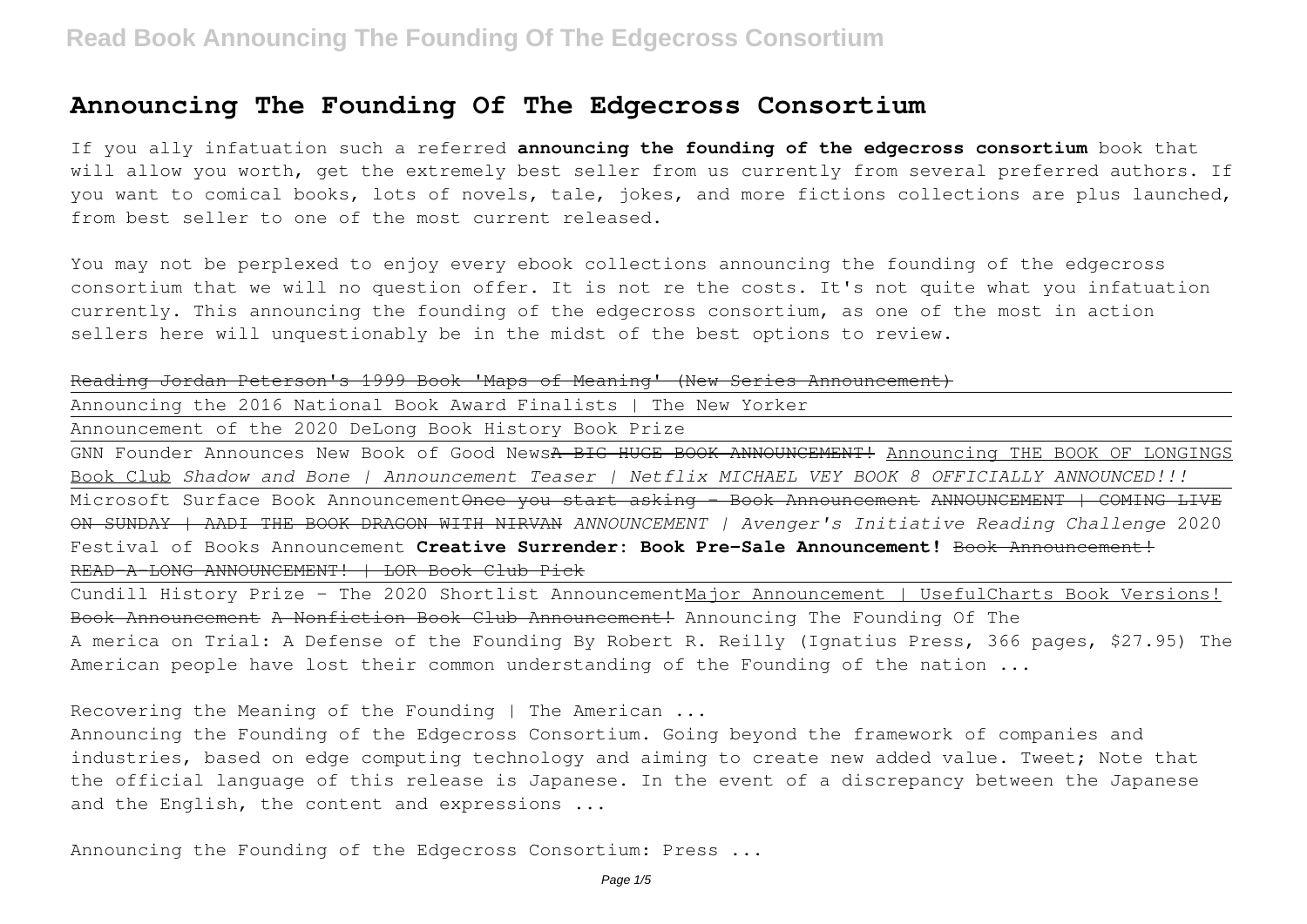If you ally infatuation such a referred **announcing the founding of the edgecross consortium** book that will allow you worth, get the extremely best seller from us currently from several preferred authors. If you want to comical books, lots of novels, tale, jokes, and more fictions collections are plus launched, from best seller to one of the most current released.

You may not be perplexed to enjoy every ebook collections announcing the founding of the edgecross consortium that we will no question offer. It is not re the costs. It's not quite what you infatuation currently. This announcing the founding of the edgecross consortium, as one of the most in action sellers here will unquestionably be in the midst of the best options to review.

#### Reading Jordan Peterson's 1999 Book 'Maps of Meaning' (New Series Announcement)

Announcing the 2016 National Book Award Finalists | The New Yorker

Announcement of the 2020 DeLong Book History Book Prize

GNN Founder Announces New Book of Good News<del>A BIG HUGE BOOK ANNOUNCEMENT!</del> Announcing THE BOOK OF LONGINGS Book Club *Shadow and Bone | Announcement Teaser | Netflix MICHAEL VEY BOOK 8 OFFICIALLY ANNOUNCED!!!* Microsoft Surface Book AnnouncementOnce you start asking - Book Announcement ANNOUNCEMENT | COMING LIVE ON SUNDAY | AADI THE BOOK DRAGON WITH NIRVAN *ANNOUNCEMENT | Avenger's Initiative Reading Challenge* 2020 Festival of Books Announcement **Creative Surrender: Book Pre-Sale Announcement!** Book Announcement! READ-A-LONG ANNOUNCEMENT! | LOR Book Club Pick

Cundill History Prize - The 2020 Shortlist AnnouncementMajor Announcement | UsefulCharts Book Versions! Book Announcement A Nonfiction Book Club Announcement! Announcing The Founding Of The A merica on Trial: A Defense of the Founding By Robert R. Reilly (Ignatius Press, 366 pages, \$27.95) The American people have lost their common understanding of the Founding of the nation ...

Recovering the Meaning of the Founding | The American ...

Announcing the Founding of the Edgecross Consortium. Going beyond the framework of companies and industries, based on edge computing technology and aiming to create new added value. Tweet; Note that the official language of this release is Japanese. In the event of a discrepancy between the Japanese and the English, the content and expressions ...

Announcing the Founding of the Edgecross Consortium: Press ...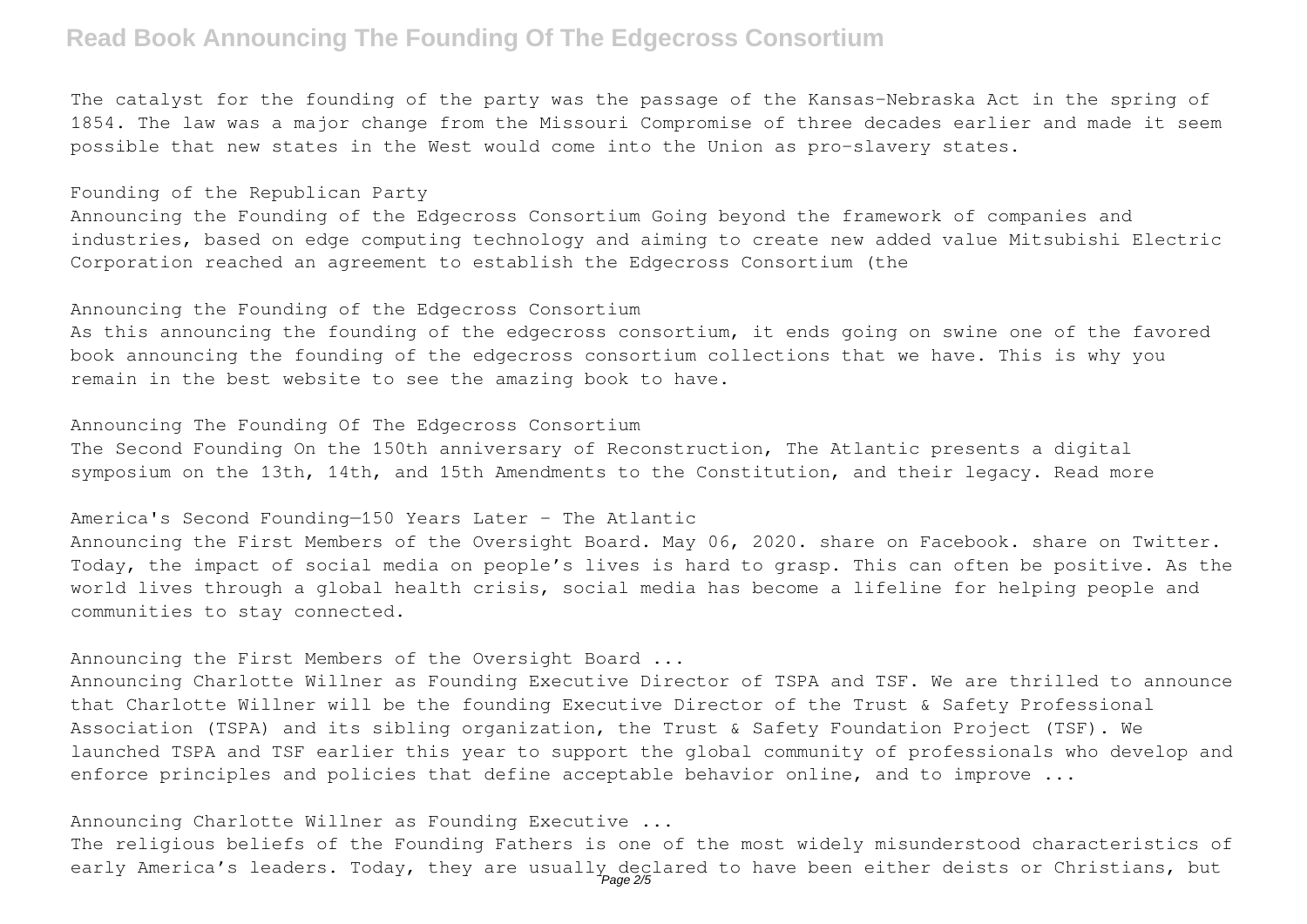The catalyst for the founding of the party was the passage of the Kansas-Nebraska Act in the spring of 1854. The law was a major change from the Missouri Compromise of three decades earlier and made it seem possible that new states in the West would come into the Union as pro-slavery states.

Founding of the Republican Party

Announcing the Founding of the Edgecross Consortium Going beyond the framework of companies and industries, based on edge computing technology and aiming to create new added value Mitsubishi Electric Corporation reached an agreement to establish the Edgecross Consortium (the

Announcing the Founding of the Edgecross Consortium

As this announcing the founding of the edgecross consortium, it ends going on swine one of the favored book announcing the founding of the edgecross consortium collections that we have. This is why you remain in the best website to see the amazing book to have.

Announcing The Founding Of The Edgecross Consortium

The Second Founding On the 150th anniversary of Reconstruction, The Atlantic presents a digital symposium on the 13th, 14th, and 15th Amendments to the Constitution, and their legacy. Read more

America's Second Founding—150 Years Later - The Atlantic

Announcing the First Members of the Oversight Board. May 06, 2020. share on Facebook. share on Twitter. Today, the impact of social media on people's lives is hard to grasp. This can often be positive. As the world lives through a global health crisis, social media has become a lifeline for helping people and communities to stay connected.

Announcing the First Members of the Oversight Board ...

Announcing Charlotte Willner as Founding Executive Director of TSPA and TSF. We are thrilled to announce that Charlotte Willner will be the founding Executive Director of the Trust & Safety Professional Association (TSPA) and its sibling organization, the Trust & Safety Foundation Project (TSF). We launched TSPA and TSF earlier this year to support the global community of professionals who develop and enforce principles and policies that define acceptable behavior online, and to improve ...

Announcing Charlotte Willner as Founding Executive ...

The religious beliefs of the Founding Fathers is one of the most widely misunderstood characteristics of early America's leaders. Today, they are usually declared to have been either deists or Christians, but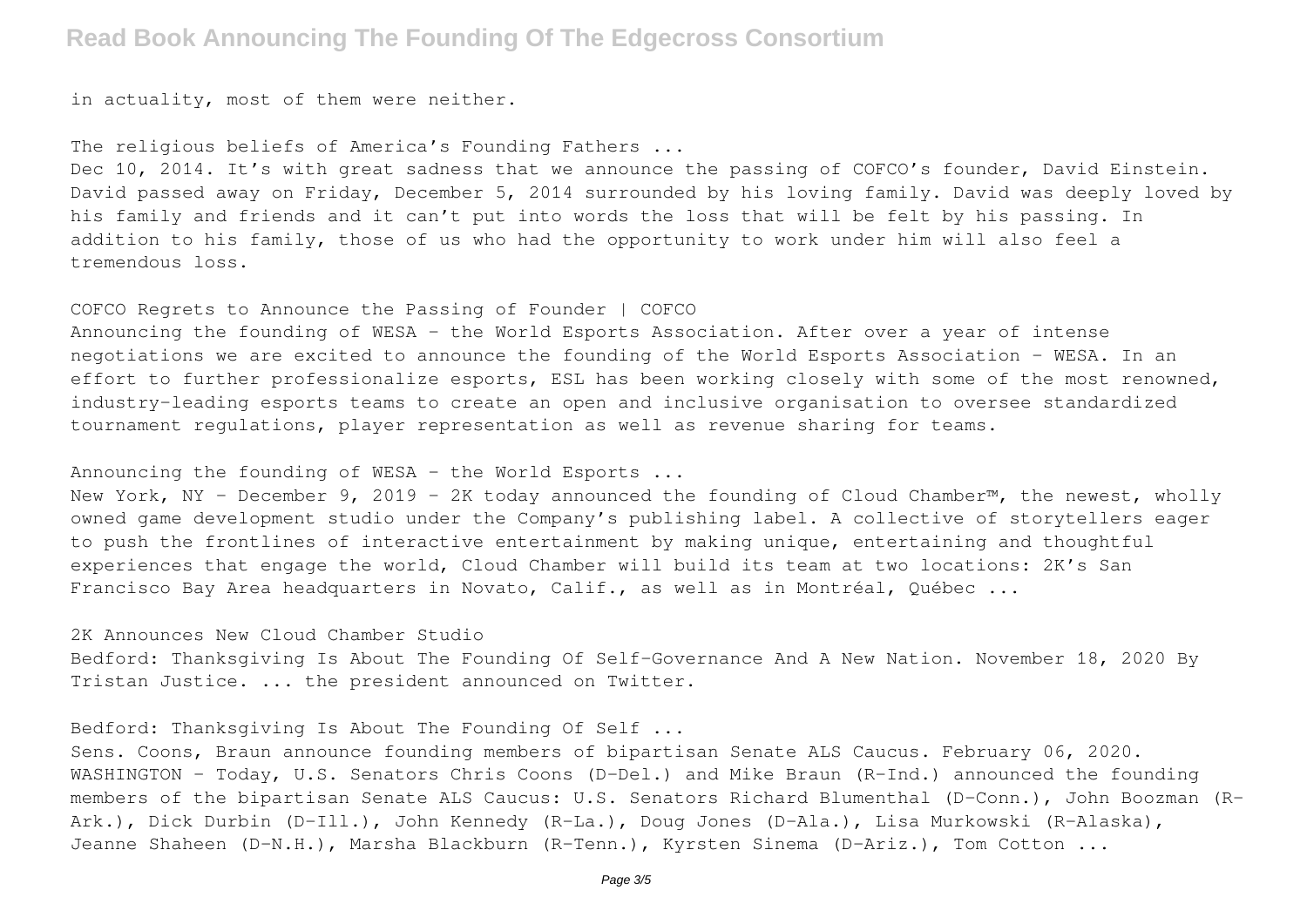in actuality, most of them were neither.

The religious beliefs of America's Founding Fathers ...

Dec 10, 2014. It's with great sadness that we announce the passing of COFCO's founder, David Einstein. David passed away on Friday, December 5, 2014 surrounded by his loving family. David was deeply loved by his family and friends and it can't put into words the loss that will be felt by his passing. In addition to his family, those of us who had the opportunity to work under him will also feel a tremendous loss.

COFCO Regrets to Announce the Passing of Founder | COFCO

Announcing the founding of WESA - the World Esports Association. After over a year of intense negotiations we are excited to announce the founding of the World Esports Association - WESA. In an effort to further professionalize esports, ESL has been working closely with some of the most renowned, industry-leading esports teams to create an open and inclusive organisation to oversee standardized tournament regulations, player representation as well as revenue sharing for teams.

Announcing the founding of WESA - the World Esports ...

New York, NY – December 9, 2019 – 2K today announced the founding of Cloud Chamber™, the newest, wholly owned game development studio under the Company's publishing label. A collective of storytellers eager to push the frontlines of interactive entertainment by making unique, entertaining and thoughtful experiences that engage the world, Cloud Chamber will build its team at two locations: 2K's San Francisco Bay Area headquarters in Novato, Calif., as well as in Montréal, Québec ...

2K Announces New Cloud Chamber Studio

Bedford: Thanksgiving Is About The Founding Of Self-Governance And A New Nation. November 18, 2020 By Tristan Justice. ... the president announced on Twitter.

Bedford: Thanksgiving Is About The Founding Of Self ...

Sens. Coons, Braun announce founding members of bipartisan Senate ALS Caucus. February 06, 2020. WASHINGTON - Today, U.S. Senators Chris Coons (D-Del.) and Mike Braun (R-Ind.) announced the founding members of the bipartisan Senate ALS Caucus: U.S. Senators Richard Blumenthal (D-Conn.), John Boozman (R-Ark.), Dick Durbin (D-Ill.), John Kennedy (R-La.), Doug Jones (D-Ala.), Lisa Murkowski (R-Alaska), Jeanne Shaheen (D-N.H.), Marsha Blackburn (R-Tenn.), Kyrsten Sinema (D-Ariz.), Tom Cotton ...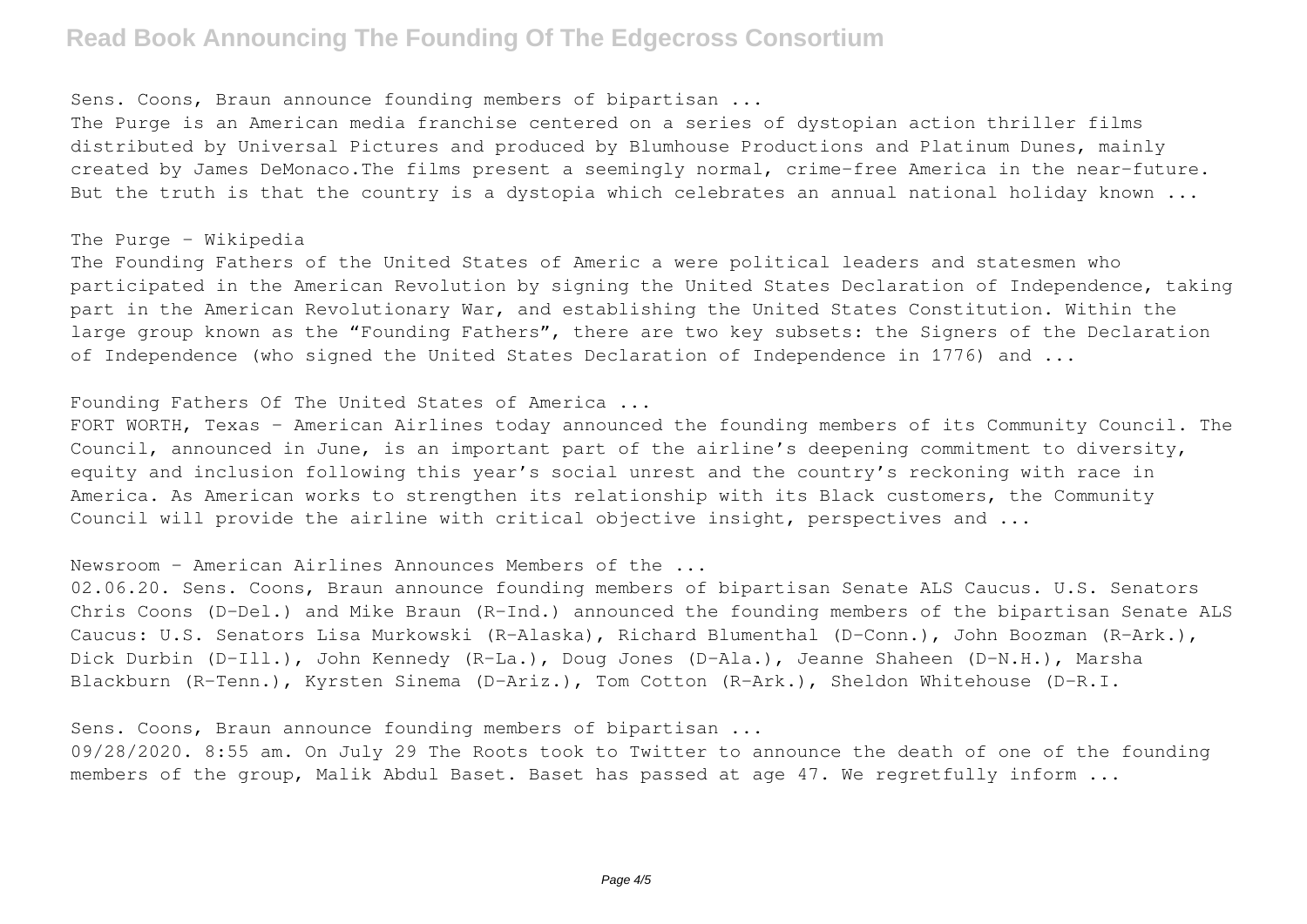Sens. Coons, Braun announce founding members of bipartisan ...

The Purge is an American media franchise centered on a series of dystopian action thriller films distributed by Universal Pictures and produced by Blumhouse Productions and Platinum Dunes, mainly created by James DeMonaco.The films present a seemingly normal, crime-free America in the near-future. But the truth is that the country is a dystopia which celebrates an annual national holiday known ...

### The Purge - Wikipedia

The Founding Fathers of the United States of Americ a were political leaders and statesmen who participated in the American Revolution by signing the United States Declaration of Independence, taking part in the American Revolutionary War, and establishing the United States Constitution. Within the large group known as the "Founding Fathers", there are two key subsets: the Signers of the Declaration of Independence (who signed the United States Declaration of Independence in 1776) and ...

### Founding Fathers Of The United States of America ...

FORT WORTH, Texas – American Airlines today announced the founding members of its Community Council. The Council, announced in June, is an important part of the airline's deepening commitment to diversity, equity and inclusion following this year's social unrest and the country's reckoning with race in America. As American works to strengthen its relationship with its Black customers, the Community Council will provide the airline with critical objective insight, perspectives and ...

Newsroom - American Airlines Announces Members of the ...

02.06.20. Sens. Coons, Braun announce founding members of bipartisan Senate ALS Caucus. U.S. Senators Chris Coons (D-Del.) and Mike Braun (R-Ind.) announced the founding members of the bipartisan Senate ALS Caucus: U.S. Senators Lisa Murkowski (R-Alaska), Richard Blumenthal (D-Conn.), John Boozman (R-Ark.), Dick Durbin (D-Ill.), John Kennedy (R-La.), Doug Jones (D-Ala.), Jeanne Shaheen (D-N.H.), Marsha Blackburn (R-Tenn.), Kyrsten Sinema (D-Ariz.), Tom Cotton (R-Ark.), Sheldon Whitehouse (D-R.I.

Sens. Coons, Braun announce founding members of bipartisan ...

09/28/2020. 8:55 am. On July 29 The Roots took to Twitter to announce the death of one of the founding members of the group, Malik Abdul Baset. Baset has passed at age 47. We regretfully inform ...